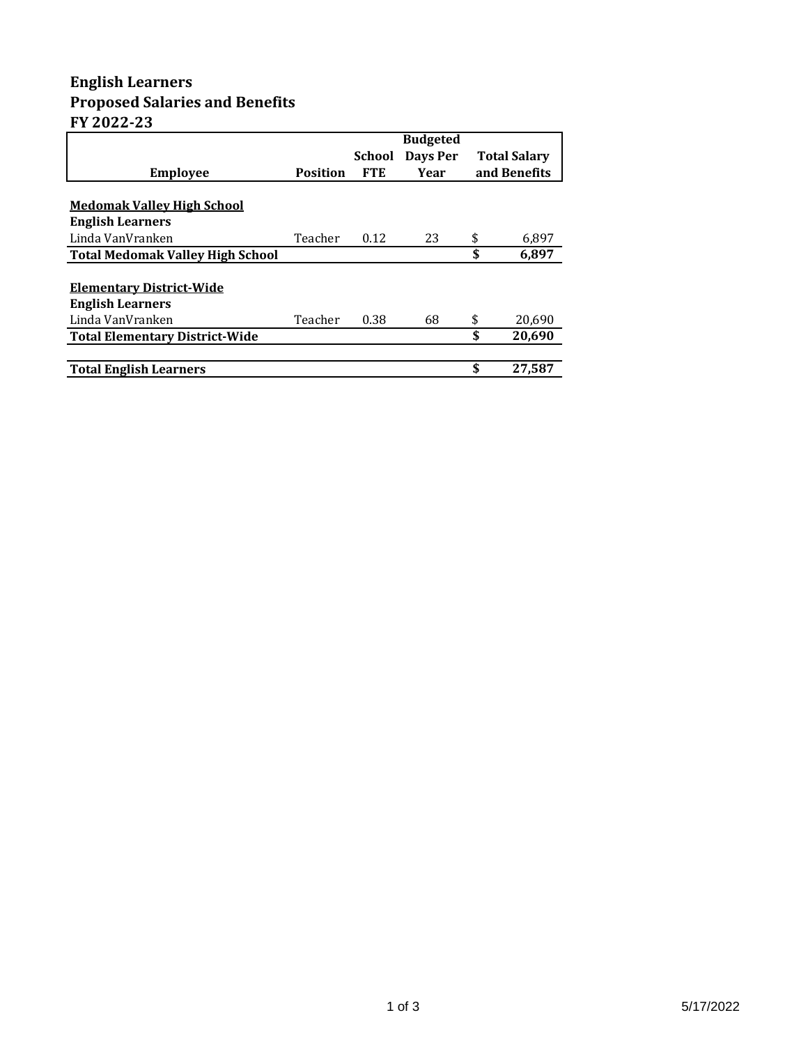## **English Learners Proposed Salaries and Benefits FY 2022-23**

|                                         |                 |            | <b>Budgeted</b> |              |                     |
|-----------------------------------------|-----------------|------------|-----------------|--------------|---------------------|
|                                         |                 | School     | Days Per        |              | <b>Total Salary</b> |
| <b>Employee</b>                         | <b>Position</b> | <b>FTE</b> | Year            | and Benefits |                     |
|                                         |                 |            |                 |              |                     |
| <b>Medomak Valley High School</b>       |                 |            |                 |              |                     |
| <b>English Learners</b>                 |                 |            |                 |              |                     |
| Linda VanVranken                        | Teacher         | 0.12       | 23              | \$           | 6,897               |
| <b>Total Medomak Valley High School</b> |                 |            |                 | \$           | 6.897               |
|                                         |                 |            |                 |              |                     |
| <b>Elementary District-Wide</b>         |                 |            |                 |              |                     |
| <b>English Learners</b>                 |                 |            |                 |              |                     |
| Linda VanVranken                        | Teacher         | 0.38       | 68              | \$           | 20,690              |
| <b>Total Elementary District-Wide</b>   |                 |            |                 | \$           | 20.690              |
|                                         |                 |            |                 |              |                     |
| <b>Total English Learners</b>           |                 |            |                 | \$           | 27,587              |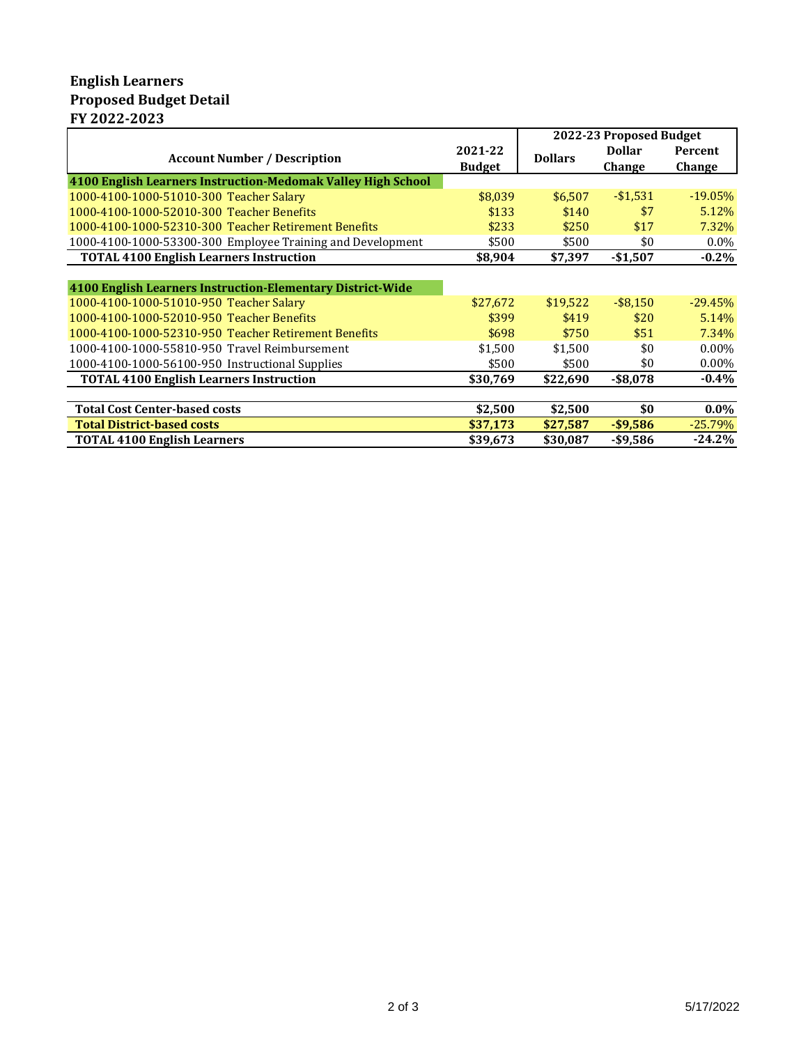## **English Learners Proposed Budget Detail FY 2022-2023**

|                                                              |                          | 2022-23 Proposed Budget |                         |                   |
|--------------------------------------------------------------|--------------------------|-------------------------|-------------------------|-------------------|
| <b>Account Number / Description</b>                          | 2021-22<br><b>Budget</b> | <b>Dollars</b>          | <b>Dollar</b><br>Change | Percent<br>Change |
| 4100 English Learners Instruction-Medomak Valley High School |                          |                         |                         |                   |
| 1000-4100-1000-51010-300 Teacher Salary                      | \$8,039                  | \$6,507                 | $-$1,531$               | $-19.05%$         |
| 1000-4100-1000-52010-300 Teacher Benefits                    | \$133                    | \$140                   | \$7                     | 5.12%             |
| 1000-4100-1000-52310-300 Teacher Retirement Benefits         | \$233                    | \$250                   | \$17                    | 7.32%             |
| 1000-4100-1000-53300-300 Employee Training and Development   | \$500                    | \$500                   | \$0                     | $0.0\%$           |
| <b>TOTAL 4100 English Learners Instruction</b>               | \$8,904                  | \$7,397                 | $-$1,507$               | $-0.2\%$          |
|                                                              |                          |                         |                         |                   |
| 4100 English Learners Instruction-Elementary District-Wide   |                          |                         |                         |                   |
| 1000-4100-1000-51010-950 Teacher Salary                      | \$27,672                 | \$19,522                | $-$ \$8,150             | $-29.45%$         |
| 1000-4100-1000-52010-950 Teacher Benefits                    | \$399                    | \$419                   | \$20                    | 5.14%             |
| 1000-4100-1000-52310-950 Teacher Retirement Benefits         | \$698                    | \$750                   | \$51                    | 7.34%             |
| 1000-4100-1000-55810-950 Travel Reimbursement                | \$1,500                  | \$1.500                 | \$0                     | $0.00\%$          |
| 1000-4100-1000-56100-950 Instructional Supplies              | \$500                    | \$500                   | \$0                     | $0.00\%$          |
| <b>TOTAL 4100 English Learners Instruction</b>               | \$30,769                 | \$22,690                | $-$ \$8,078             | $-0.4%$           |
|                                                              |                          |                         |                         |                   |
| <b>Total Cost Center-based costs</b>                         | \$2,500                  | \$2,500                 | \$0                     | $0.0\%$           |
| <b>Total District-based costs</b>                            | \$37,173                 | \$27,587                | $-$ \$9,586             | $-25.79%$         |
| <b>TOTAL 4100 English Learners</b>                           | \$39,673                 | \$30,087                | -\$9,586                | $-24.2%$          |